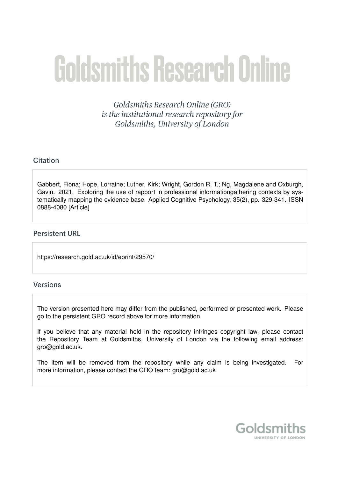# **Goldsmiths Research Online**

Goldsmiths Research Online (GRO) is the institutional research repository for Goldsmiths, University of London

## Citation

Gabbert, Fiona; Hope, Lorraine; Luther, Kirk; Wright, Gordon R. T.; Ng, Magdalene and Oxburgh, Gavin. 2021. Exploring the use of rapport in professional informationgathering contexts by systematically mapping the evidence base. Applied Cognitive Psychology, 35(2), pp. 329-341. ISSN 0888-4080 [Article]

## **Persistent URL**

https://research.gold.ac.uk/id/eprint/29570/

## **Versions**

The version presented here may differ from the published, performed or presented work. Please go to the persistent GRO record above for more information.

If you believe that any material held in the repository infringes copyright law, please contact the Repository Team at Goldsmiths, University of London via the following email address: gro@gold.ac.uk.

The item will be removed from the repository while any claim is being investigated. For more information, please contact the GRO team: gro@gold.ac.uk

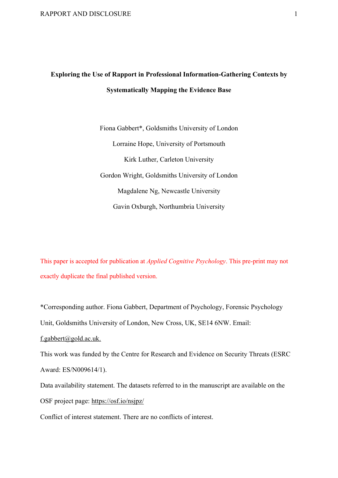# **Exploring the Use of Rapport in Professional Information-Gathering Contexts by Systematically Mapping the Evidence Base**

Fiona Gabbert\*, Goldsmiths University of London Lorraine Hope, University of Portsmouth Kirk Luther, Carleton University Gordon Wright, Goldsmiths University of London Magdalene Ng, Newcastle University Gavin Oxburgh, Northumbria University

This paper is accepted for publication at *Applied Cognitive Psychology*. This pre-print may not exactly duplicate the final published version.

\*Corresponding author. Fiona Gabbert, Department of Psychology, Forensic Psychology

Unit, Goldsmiths University of London, New Cross, UK, SE14 6NW. Email:

f.gabbert@gold.ac.uk.

This work was funded by the Centre for Research and Evidence on Security Threats (ESRC Award: ES/N009614/1).

Data availability statement. The datasets referred to in the manuscript are available on the OSF project page: https://osf.io/nsjpz/

Conflict of interest statement. There are no conflicts of interest.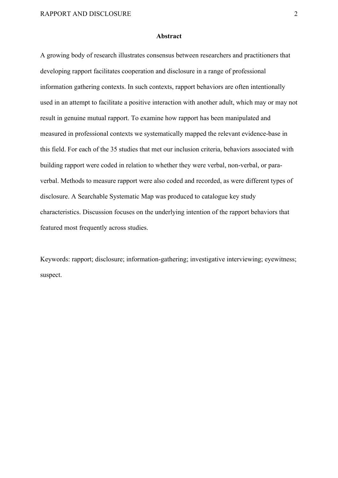#### **Abstract**

A growing body of research illustrates consensus between researchers and practitioners that developing rapport facilitates cooperation and disclosure in a range of professional information gathering contexts. In such contexts, rapport behaviors are often intentionally used in an attempt to facilitate a positive interaction with another adult, which may or may not result in genuine mutual rapport. To examine how rapport has been manipulated and measured in professional contexts we systematically mapped the relevant evidence-base in this field. For each of the 35 studies that met our inclusion criteria, behaviors associated with building rapport were coded in relation to whether they were verbal, non-verbal, or paraverbal. Methods to measure rapport were also coded and recorded, as were different types of disclosure. A Searchable Systematic Map was produced to catalogue key study characteristics. Discussion focuses on the underlying intention of the rapport behaviors that featured most frequently across studies.

Keywords: rapport; disclosure; information-gathering; investigative interviewing; eyewitness; suspect.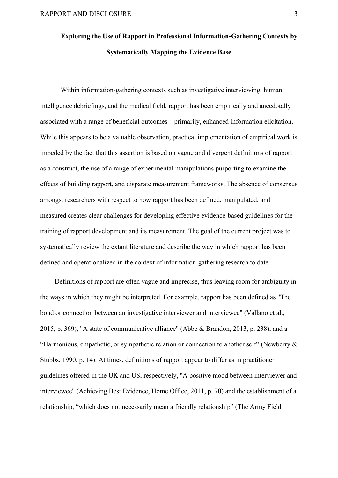# **Exploring the Use of Rapport in Professional Information-Gathering Contexts by Systematically Mapping the Evidence Base**

Within information-gathering contexts such as investigative interviewing, human intelligence debriefings, and the medical field, rapport has been empirically and anecdotally associated with a range of beneficial outcomes – primarily, enhanced information elicitation. While this appears to be a valuable observation, practical implementation of empirical work is impeded by the fact that this assertion is based on vague and divergent definitions of rapport as a construct, the use of a range of experimental manipulations purporting to examine the effects of building rapport, and disparate measurement frameworks. The absence of consensus amongst researchers with respect to how rapport has been defined, manipulated, and measured creates clear challenges for developing effective evidence-based guidelines for the training of rapport development and its measurement. The goal of the current project was to systematically review the extant literature and describe the way in which rapport has been defined and operationalized in the context of information-gathering research to date.

Definitions of rapport are often vague and imprecise, thus leaving room for ambiguity in the ways in which they might be interpreted. For example, rapport has been defined as "The bond or connection between an investigative interviewer and interviewee" (Vallano et al., 2015, p. 369), "A state of communicative alliance" (Abbe & Brandon, 2013, p. 238), and a "Harmonious, empathetic, or sympathetic relation or connection to another self" (Newberry & Stubbs, 1990, p. 14). At times, definitions of rapport appear to differ as in practitioner guidelines offered in the UK and US, respectively, "A positive mood between interviewer and interviewee" (Achieving Best Evidence, Home Office, 2011, p. 70) and the establishment of a relationship, "which does not necessarily mean a friendly relationship" (The Army Field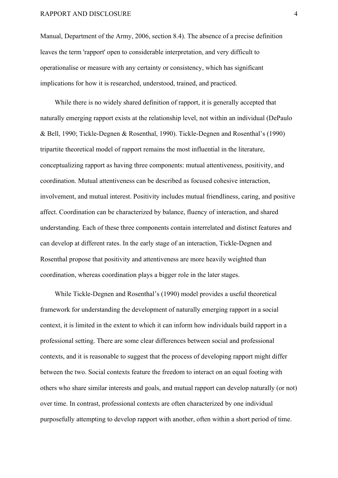Manual, Department of the Army, 2006, section 8.4). The absence of a precise definition leaves the term 'rapport' open to considerable interpretation, and very difficult to operationalise or measure with any certainty or consistency, which has significant implications for how it is researched, understood, trained, and practiced.

While there is no widely shared definition of rapport, it is generally accepted that naturally emerging rapport exists at the relationship level, not within an individual (DePaulo & Bell, 1990; Tickle-Degnen & Rosenthal, 1990). Tickle-Degnen and Rosenthal's (1990) tripartite theoretical model of rapport remains the most influential in the literature, conceptualizing rapport as having three components: mutual attentiveness, positivity, and coordination. Mutual attentiveness can be described as focused cohesive interaction, involvement, and mutual interest. Positivity includes mutual friendliness, caring, and positive affect. Coordination can be characterized by balance, fluency of interaction, and shared understanding. Each of these three components contain interrelated and distinct features and can develop at different rates. In the early stage of an interaction, Tickle-Degnen and Rosenthal propose that positivity and attentiveness are more heavily weighted than coordination, whereas coordination plays a bigger role in the later stages.

While Tickle-Degnen and Rosenthal's (1990) model provides a useful theoretical framework for understanding the development of naturally emerging rapport in a social context, it is limited in the extent to which it can inform how individuals build rapport in a professional setting. There are some clear differences between social and professional contexts, and it is reasonable to suggest that the process of developing rapport might differ between the two. Social contexts feature the freedom to interact on an equal footing with others who share similar interests and goals, and mutual rapport can develop naturally (or not) over time. In contrast, professional contexts are often characterized by one individual purposefully attempting to develop rapport with another, often within a short period of time.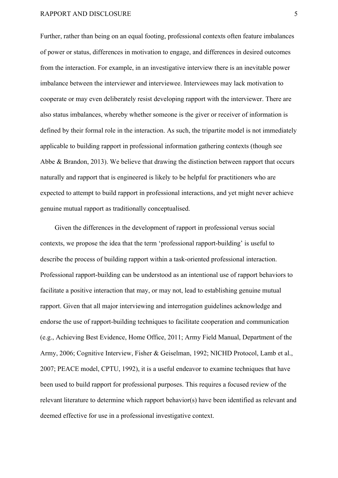Further, rather than being on an equal footing, professional contexts often feature imbalances of power or status, differences in motivation to engage, and differences in desired outcomes from the interaction. For example, in an investigative interview there is an inevitable power imbalance between the interviewer and interviewee. Interviewees may lack motivation to cooperate or may even deliberately resist developing rapport with the interviewer. There are also status imbalances, whereby whether someone is the giver or receiver of information is defined by their formal role in the interaction. As such, the tripartite model is not immediately applicable to building rapport in professional information gathering contexts (though see Abbe & Brandon, 2013). We believe that drawing the distinction between rapport that occurs naturally and rapport that is engineered is likely to be helpful for practitioners who are expected to attempt to build rapport in professional interactions, and yet might never achieve genuine mutual rapport as traditionally conceptualised.

Given the differences in the development of rapport in professional versus social contexts, we propose the idea that the term 'professional rapport-building' is useful to describe the process of building rapport within a task-oriented professional interaction. Professional rapport-building can be understood as an intentional use of rapport behaviors to facilitate a positive interaction that may, or may not, lead to establishing genuine mutual rapport. Given that all major interviewing and interrogation guidelines acknowledge and endorse the use of rapport-building techniques to facilitate cooperation and communication (e.g., Achieving Best Evidence, Home Office, 2011; Army Field Manual, Department of the Army, 2006; Cognitive Interview, Fisher & Geiselman, 1992; NICHD Protocol, Lamb et al., 2007; PEACE model, CPTU, 1992), it is a useful endeavor to examine techniques that have been used to build rapport for professional purposes. This requires a focused review of the relevant literature to determine which rapport behavior(s) have been identified as relevant and deemed effective for use in a professional investigative context.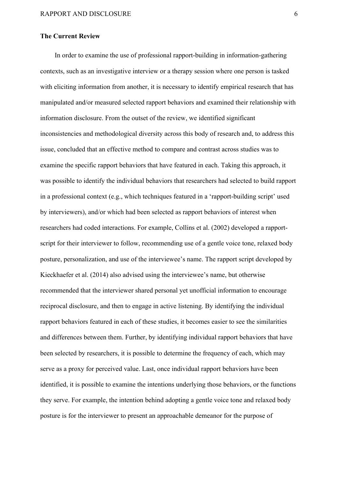#### **The Current Review**

In order to examine the use of professional rapport-building in information-gathering contexts, such as an investigative interview or a therapy session where one person is tasked with eliciting information from another, it is necessary to identify empirical research that has manipulated and/or measured selected rapport behaviors and examined their relationship with information disclosure. From the outset of the review, we identified significant inconsistencies and methodological diversity across this body of research and, to address this issue, concluded that an effective method to compare and contrast across studies was to examine the specific rapport behaviors that have featured in each. Taking this approach, it was possible to identify the individual behaviors that researchers had selected to build rapport in a professional context (e.g., which techniques featured in a 'rapport-building script' used by interviewers), and/or which had been selected as rapport behaviors of interest when researchers had coded interactions. For example, Collins et al. (2002) developed a rapportscript for their interviewer to follow, recommending use of a gentle voice tone, relaxed body posture, personalization, and use of the interviewee's name. The rapport script developed by Kieckhaefer et al. (2014) also advised using the interviewee's name, but otherwise recommended that the interviewer shared personal yet unofficial information to encourage reciprocal disclosure, and then to engage in active listening. By identifying the individual rapport behaviors featured in each of these studies, it becomes easier to see the similarities and differences between them. Further, by identifying individual rapport behaviors that have been selected by researchers, it is possible to determine the frequency of each, which may serve as a proxy for perceived value. Last, once individual rapport behaviors have been identified, it is possible to examine the intentions underlying those behaviors, or the functions they serve. For example, the intention behind adopting a gentle voice tone and relaxed body posture is for the interviewer to present an approachable demeanor for the purpose of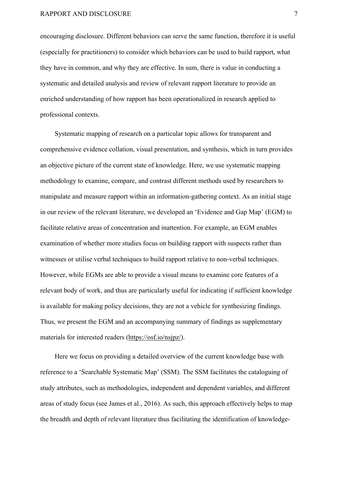encouraging disclosure. Different behaviors can serve the same function, therefore it is useful (especially for practitioners) to consider which behaviors can be used to build rapport, what they have in common, and why they are effective. In sum, there is value in conducting a systematic and detailed analysis and review of relevant rapport literature to provide an enriched understanding of how rapport has been operationalized in research applied to professional contexts.

Systematic mapping of research on a particular topic allows for transparent and comprehensive evidence collation, visual presentation, and synthesis, which in turn provides an objective picture of the current state of knowledge. Here, we use systematic mapping methodology to examine, compare, and contrast different methods used by researchers to manipulate and measure rapport within an information-gathering context. As an initial stage in our review of the relevant literature, we developed an 'Evidence and Gap Map' (EGM) to facilitate relative areas of concentration and inattention. For example, an EGM enables examination of whether more studies focus on building rapport with suspects rather than witnesses or utilise verbal techniques to build rapport relative to non-verbal techniques. However, while EGMs are able to provide a visual means to examine core features of a relevant body of work, and thus are particularly useful for indicating if sufficient knowledge is available for making policy decisions, they are not a vehicle for synthesizing findings. Thus, we present the EGM and an accompanying summary of findings as supplementary materials for interested readers (https://osf.io/nsjpz/).

Here we focus on providing a detailed overview of the current knowledge base with reference to a 'Searchable Systematic Map' (SSM). The SSM facilitates the cataloguing of study attributes, such as methodologies, independent and dependent variables, and different areas of study focus (see James et al., 2016). As such, this approach effectively helps to map the breadth and depth of relevant literature thus facilitating the identification of knowledge-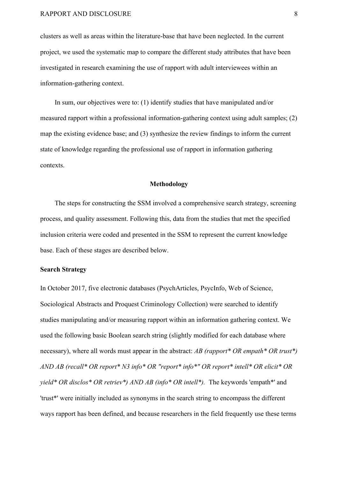clusters as well as areas within the literature-base that have been neglected. In the current project, we used the systematic map to compare the different study attributes that have been investigated in research examining the use of rapport with adult interviewees within an information-gathering context.

In sum, our objectives were to: (1) identify studies that have manipulated and/or measured rapport within a professional information-gathering context using adult samples; (2) map the existing evidence base; and (3) synthesize the review findings to inform the current state of knowledge regarding the professional use of rapport in information gathering contexts.

#### **Methodology**

The steps for constructing the SSM involved a comprehensive search strategy, screening process, and quality assessment. Following this, data from the studies that met the specified inclusion criteria were coded and presented in the SSM to represent the current knowledge base. Each of these stages are described below.

#### **Search Strategy**

In October 2017, five electronic databases (PsychArticles, PsycInfo, Web of Science, Sociological Abstracts and Proquest Criminology Collection) were searched to identify studies manipulating and/or measuring rapport within an information gathering context. We used the following basic Boolean search string (slightly modified for each database where necessary), where all words must appear in the abstract: *AB (rapport\* OR empath\* OR trust\*) AND AB (recall\* OR report\* N3 info\* OR "report\* info\*" OR report\* intell\* OR elicit\* OR yield\* OR disclos\* OR retriev\*) AND AB (info\* OR intell\*).* The keywords 'empath\*' and 'trust\*' were initially included as synonyms in the search string to encompass the different ways rapport has been defined, and because researchers in the field frequently use these terms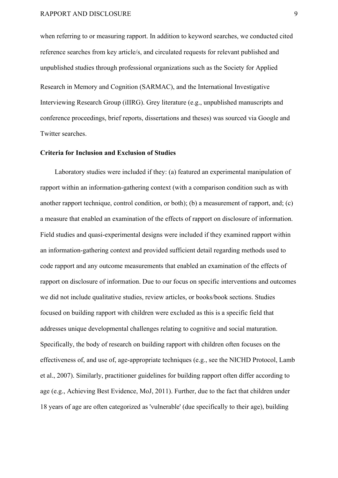when referring to or measuring rapport. In addition to keyword searches, we conducted cited reference searches from key article/s, and circulated requests for relevant published and unpublished studies through professional organizations such as the Society for Applied Research in Memory and Cognition (SARMAC), and the International Investigative Interviewing Research Group (iIIRG). Grey literature (e.g., unpublished manuscripts and conference proceedings, brief reports, dissertations and theses) was sourced via Google and Twitter searches.

#### **Criteria for Inclusion and Exclusion of Studies**

Laboratory studies were included if they: (a) featured an experimental manipulation of rapport within an information-gathering context (with a comparison condition such as with another rapport technique, control condition, or both); (b) a measurement of rapport, and; (c) a measure that enabled an examination of the effects of rapport on disclosure of information. Field studies and quasi-experimental designs were included if they examined rapport within an information-gathering context and provided sufficient detail regarding methods used to code rapport and any outcome measurements that enabled an examination of the effects of rapport on disclosure of information. Due to our focus on specific interventions and outcomes we did not include qualitative studies, review articles, or books/book sections. Studies focused on building rapport with children were excluded as this is a specific field that addresses unique developmental challenges relating to cognitive and social maturation. Specifically, the body of research on building rapport with children often focuses on the effectiveness of, and use of, age-appropriate techniques (e.g., see the NICHD Protocol, Lamb et al., 2007). Similarly, practitioner guidelines for building rapport often differ according to age (e.g., Achieving Best Evidence, MoJ, 2011). Further, due to the fact that children under 18 years of age are often categorized as 'vulnerable' (due specifically to their age), building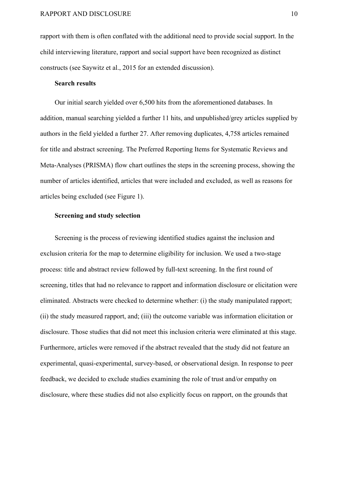rapport with them is often conflated with the additional need to provide social support. In the child interviewing literature, rapport and social support have been recognized as distinct constructs (see Saywitz et al., 2015 for an extended discussion).

#### **Search results**

Our initial search yielded over 6,500 hits from the aforementioned databases. In addition, manual searching yielded a further 11 hits, and unpublished/grey articles supplied by authors in the field yielded a further 27. After removing duplicates, 4,758 articles remained for title and abstract screening. The Preferred Reporting Items for Systematic Reviews and Meta-Analyses (PRISMA) flow chart outlines the steps in the screening process, showing the number of articles identified, articles that were included and excluded, as well as reasons for articles being excluded (see Figure 1).

#### **Screening and study selection**

Screening is the process of reviewing identified studies against the inclusion and exclusion criteria for the map to determine eligibility for inclusion. We used a two-stage process: title and abstract review followed by full-text screening. In the first round of screening, titles that had no relevance to rapport and information disclosure or elicitation were eliminated. Abstracts were checked to determine whether: (i) the study manipulated rapport; (ii) the study measured rapport, and; (iii) the outcome variable was information elicitation or disclosure. Those studies that did not meet this inclusion criteria were eliminated at this stage. Furthermore, articles were removed if the abstract revealed that the study did not feature an experimental, quasi-experimental, survey-based, or observational design. In response to peer feedback, we decided to exclude studies examining the role of trust and/or empathy on disclosure, where these studies did not also explicitly focus on rapport, on the grounds that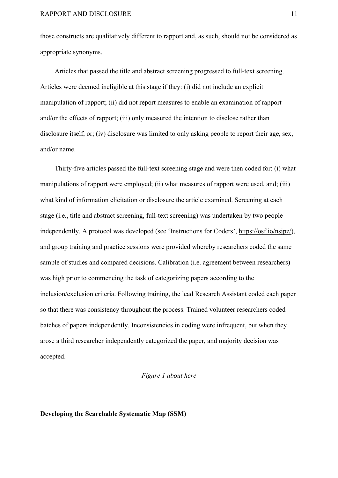those constructs are qualitatively different to rapport and, as such, should not be considered as appropriate synonyms.

Articles that passed the title and abstract screening progressed to full-text screening. Articles were deemed ineligible at this stage if they: (i) did not include an explicit manipulation of rapport; (ii) did not report measures to enable an examination of rapport and/or the effects of rapport; (iii) only measured the intention to disclose rather than disclosure itself, or; (iv) disclosure was limited to only asking people to report their age, sex, and/or name.

Thirty-five articles passed the full-text screening stage and were then coded for: (i) what manipulations of rapport were employed; (ii) what measures of rapport were used, and; (iii) what kind of information elicitation or disclosure the article examined. Screening at each stage (i.e., title and abstract screening, full-text screening) was undertaken by two people independently. A protocol was developed (see 'Instructions for Coders', https://osf.io/nsjpz/), and group training and practice sessions were provided whereby researchers coded the same sample of studies and compared decisions. Calibration (i.e. agreement between researchers) was high prior to commencing the task of categorizing papers according to the inclusion/exclusion criteria. Following training, the lead Research Assistant coded each paper so that there was consistency throughout the process. Trained volunteer researchers coded batches of papers independently. Inconsistencies in coding were infrequent, but when they arose a third researcher independently categorized the paper, and majority decision was accepted.

#### *Figure 1 about here*

#### **Developing the Searchable Systematic Map (SSM)**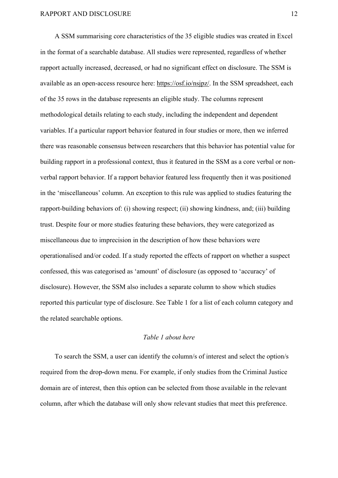A SSM summarising core characteristics of the 35 eligible studies was created in Excel in the format of a searchable database. All studies were represented, regardless of whether rapport actually increased, decreased, or had no significant effect on disclosure. The SSM is available as an open-access resource here: https://osf.io/nsjpz/. In the SSM spreadsheet, each of the 35 rows in the database represents an eligible study. The columns represent methodological details relating to each study, including the independent and dependent variables. If a particular rapport behavior featured in four studies or more, then we inferred there was reasonable consensus between researchers that this behavior has potential value for building rapport in a professional context, thus it featured in the SSM as a core verbal or nonverbal rapport behavior. If a rapport behavior featured less frequently then it was positioned in the 'miscellaneous' column. An exception to this rule was applied to studies featuring the rapport-building behaviors of: (i) showing respect; (ii) showing kindness, and; (iii) building trust. Despite four or more studies featuring these behaviors, they were categorized as miscellaneous due to imprecision in the description of how these behaviors were operationalised and/or coded. If a study reported the effects of rapport on whether a suspect confessed, this was categorised as 'amount' of disclosure (as opposed to 'accuracy' of disclosure). However, the SSM also includes a separate column to show which studies reported this particular type of disclosure. See Table 1 for a list of each column category and the related searchable options.

#### *Table 1 about here*

To search the SSM, a user can identify the column/s of interest and select the option/s required from the drop-down menu. For example, if only studies from the Criminal Justice domain are of interest, then this option can be selected from those available in the relevant column, after which the database will only show relevant studies that meet this preference.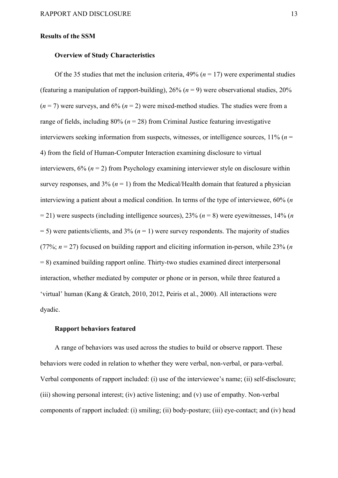#### **Results of the SSM**

#### **Overview of Study Characteristics**

Of the 35 studies that met the inclusion criteria,  $49\%$  ( $n = 17$ ) were experimental studies (featuring a manipulation of rapport-building),  $26\%$  ( $n = 9$ ) were observational studies,  $20\%$  $(n = 7)$  were surveys, and  $6\%$   $(n = 2)$  were mixed-method studies. The studies were from a range of fields, including  $80\%$  ( $n = 28$ ) from Criminal Justice featuring investigative interviewers seeking information from suspects, witnesses, or intelligence sources, 11% (*n* = 4) from the field of Human-Computer Interaction examining disclosure to virtual interviewers,  $6\%$  ( $n = 2$ ) from Psychology examining interviewer style on disclosure within survey responses, and  $3\%$  ( $n = 1$ ) from the Medical/Health domain that featured a physician interviewing a patient about a medical condition. In terms of the type of interviewee, 60% (*n*  $= 21$ ) were suspects (including intelligence sources), 23% ( $n = 8$ ) were eyewitnesses, 14% (*n*) = 5) were patients/clients, and 3% (*n* = 1) were survey respondents. The majority of studies (77%;  $n = 27$ ) focused on building rapport and eliciting information in-person, while 23% (*n* = 8) examined building rapport online. Thirty-two studies examined direct interpersonal interaction, whether mediated by computer or phone or in person, while three featured a 'virtual' human (Kang & Gratch, 2010, 2012, Peiris et al., 2000). All interactions were dyadic.

#### **Rapport behaviors featured**

A range of behaviors was used across the studies to build or observe rapport. These behaviors were coded in relation to whether they were verbal, non-verbal, or para-verbal. Verbal components of rapport included: (i) use of the interviewee's name; (ii) self-disclosure; (iii) showing personal interest; (iv) active listening; and (v) use of empathy. Non-verbal components of rapport included: (i) smiling; (ii) body-posture; (iii) eye-contact; and (iv) head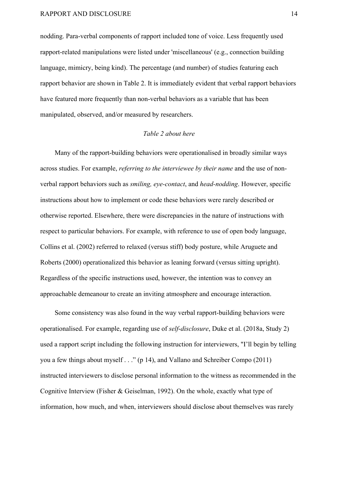nodding. Para-verbal components of rapport included tone of voice. Less frequently used rapport-related manipulations were listed under 'miscellaneous' (e.g., connection building language, mimicry, being kind). The percentage (and number) of studies featuring each rapport behavior are shown in Table 2. It is immediately evident that verbal rapport behaviors have featured more frequently than non-verbal behaviors as a variable that has been manipulated, observed, and/or measured by researchers.

#### *Table 2 about here*

Many of the rapport-building behaviors were operationalised in broadly similar ways across studies. For example, *referring to the interviewee by their name* and the use of nonverbal rapport behaviors such as *smiling, eye-contact*, and *head-nodding*. However, specific instructions about how to implement or code these behaviors were rarely described or otherwise reported. Elsewhere, there were discrepancies in the nature of instructions with respect to particular behaviors. For example, with reference to use of open body language, Collins et al. (2002) referred to relaxed (versus stiff) body posture, while Aruguete and Roberts (2000) operationalized this behavior as leaning forward (versus sitting upright). Regardless of the specific instructions used, however, the intention was to convey an approachable demeanour to create an inviting atmosphere and encourage interaction.

Some consistency was also found in the way verbal rapport-building behaviors were operationalised. For example, regarding use of *self*-*disclosure*, Duke et al. (2018a, Study 2) used a rapport script including the following instruction for interviewers, "I'll begin by telling you a few things about myself . . ." (p 14), and Vallano and Schreiber Compo (2011) instructed interviewers to disclose personal information to the witness as recommended in the Cognitive Interview (Fisher & Geiselman, 1992). On the whole, exactly what type of information, how much, and when, interviewers should disclose about themselves was rarely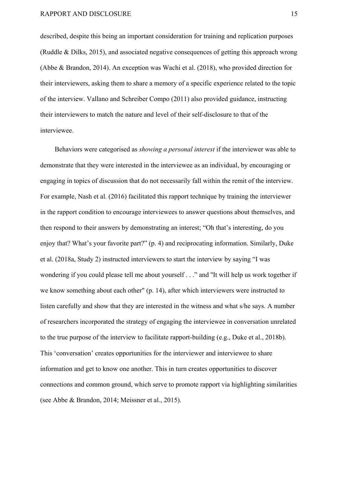described, despite this being an important consideration for training and replication purposes (Ruddle & Dilks, 2015), and associated negative consequences of getting this approach wrong (Abbe & Brandon, 2014). An exception was Wachi et al. (2018), who provided direction for their interviewers, asking them to share a memory of a specific experience related to the topic of the interview. Vallano and Schreiber Compo (2011) also provided guidance, instructing their interviewers to match the nature and level of their self-disclosure to that of the interviewee.

Behaviors were categorised as *showing a personal interest* if the interviewer was able to demonstrate that they were interested in the interviewee as an individual, by encouraging or engaging in topics of discussion that do not necessarily fall within the remit of the interview. For example, Nash et al. (2016) facilitated this rapport technique by training the interviewer in the rapport condition to encourage interviewees to answer questions about themselves, and then respond to their answers by demonstrating an interest; "Oh that's interesting, do you enjoy that? What's your favorite part?" (p. 4) and reciprocating information. Similarly, Duke et al. (2018a, Study 2) instructed interviewers to start the interview by saying "I was wondering if you could please tell me about yourself . . ." and ''It will help us work together if we know something about each other" (p. 14), after which interviewers were instructed to listen carefully and show that they are interested in the witness and what s/he says. A number of researchers incorporated the strategy of engaging the interviewee in conversation unrelated to the true purpose of the interview to facilitate rapport-building (e.g., Duke et al., 2018b). This 'conversation' creates opportunities for the interviewer and interviewee to share information and get to know one another. This in turn creates opportunities to discover connections and common ground, which serve to promote rapport via highlighting similarities (see Abbe & Brandon, 2014; Meissner et al., 2015).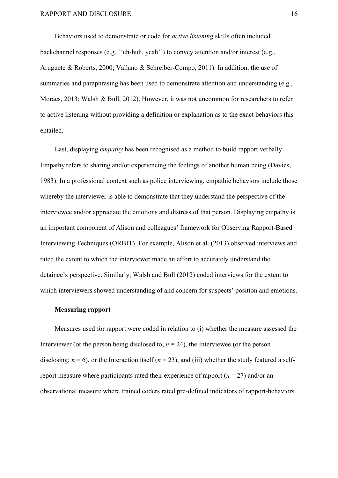Behaviors used to demonstrate or code for *active listening* skills often included backchannel responses (e.g. ''uh-huh, yeah'') to convey attention and/or interest (e.g., Aruguete & Roberts, 2000; Vallano & Schreiber-Compo, 2011). In addition, the use of summaries and paraphrasing has been used to demonstrate attention and understanding (e.g., Moraes, 2013; Walsh & Bull, 2012). However, it was not uncommon for researchers to refer to active listening without providing a definition or explanation as to the exact behaviors this entailed.

Last, displaying *empathy* has been recognised as a method to build rapport verbally. Empathy refers to sharing and/or experiencing the feelings of another human being (Davies, 1983). In a professional context such as police interviewing, empathic behaviors include those whereby the interviewer is able to demonstrate that they understand the perspective of the interviewee and/or appreciate the emotions and distress of that person. Displaying empathy is an important component of Alison and colleagues' framework for Observing Rapport-Based Interviewing Techniques (ORBIT). For example, Alison et al. (2013) observed interviews and rated the extent to which the interviewer made an effort to accurately understand the detainee's perspective. Similarly, Walsh and Bull (2012) coded interviews for the extent to which interviewers showed understanding of and concern for suspects' position and emotions.

#### **Measuring rapport**

Measures used for rapport were coded in relation to (i) whether the measure assessed the Interviewer (or the person being disclosed to;  $n = 24$ ), the Interviewee (or the person disclosing;  $n = 6$ ), or the Interaction itself ( $n = 23$ ), and (iii) whether the study featured a selfreport measure where participants rated their experience of rapport  $(n = 27)$  and/or an observational measure where trained coders rated pre-defined indicators of rapport-behaviors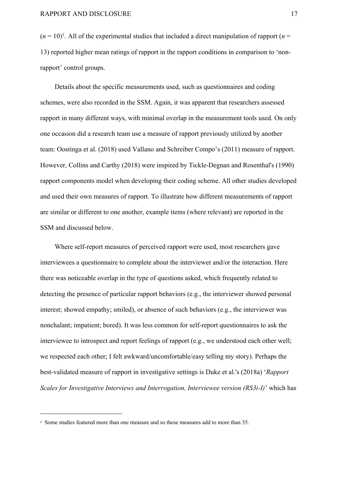$(n = 10)^1$ . All of the experimental studies that included a direct manipulation of rapport ( $n =$ 13) reported higher mean ratings of rapport in the rapport conditions in comparison to 'nonrapport' control groups.

Details about the specific measurements used, such as questionnaires and coding schemes, were also recorded in the SSM. Again, it was apparent that researchers assessed rapport in many different ways, with minimal overlap in the measurement tools used. On only one occasion did a research team use a measure of rapport previously utilized by another team: Oostinga et al. (2018) used Vallano and Schreiber Compo's (2011) measure of rapport. However, Collins and Carthy (2018) were inspired by Tickle-Degnan and Rosenthal's (1990) rapport components model when developing their coding scheme. All other studies developed and used their own measures of rapport. To illustrate how different measurements of rapport are similar or different to one another, example items (where relevant) are reported in the SSM and discussed below.

Where self-report measures of perceived rapport were used, most researchers gave interviewees a questionnaire to complete about the interviewer and/or the interaction. Here there was noticeable overlap in the type of questions asked, which frequently related to detecting the presence of particular rapport behaviors (e.g., the interviewer showed personal interest; showed empathy; smiled), or absence of such behaviors (e.g., the interviewer was nonchalant; impatient; bored). It was less common for self-report questionnaires to ask the interviewee to introspect and report feelings of rapport (e.g., we understood each other well; we respected each other; I felt awkward/uncomfortable/easy telling my story). Perhaps the best-validated measure of rapport in investigative settings is Duke et al.'s (2018a) '*Rapport Scales for Investigative Interviews and Interrogation, Interviewee version (RS3i-I)*' which has

<sup>&</sup>lt;sup>1</sup> Some studies featured more than one measure and so these measures add to more than 35.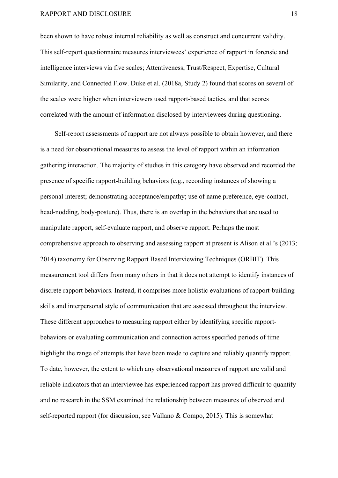been shown to have robust internal reliability as well as construct and concurrent validity. This self-report questionnaire measures interviewees' experience of rapport in forensic and intelligence interviews via five scales; Attentiveness, Trust/Respect, Expertise, Cultural Similarity, and Connected Flow. Duke et al. (2018a, Study 2) found that scores on several of the scales were higher when interviewers used rapport-based tactics, and that scores correlated with the amount of information disclosed by interviewees during questioning.

Self-report assessments of rapport are not always possible to obtain however, and there is a need for observational measures to assess the level of rapport within an information gathering interaction. The majority of studies in this category have observed and recorded the presence of specific rapport-building behaviors (e.g., recording instances of showing a personal interest; demonstrating acceptance/empathy; use of name preference, eye-contact, head-nodding, body-posture). Thus, there is an overlap in the behaviors that are used to manipulate rapport, self-evaluate rapport, and observe rapport. Perhaps the most comprehensive approach to observing and assessing rapport at present is Alison et al.'s (2013; 2014) taxonomy for Observing Rapport Based Interviewing Techniques (ORBIT). This measurement tool differs from many others in that it does not attempt to identify instances of discrete rapport behaviors. Instead, it comprises more holistic evaluations of rapport-building skills and interpersonal style of communication that are assessed throughout the interview. These different approaches to measuring rapport either by identifying specific rapportbehaviors or evaluating communication and connection across specified periods of time highlight the range of attempts that have been made to capture and reliably quantify rapport. To date, however, the extent to which any observational measures of rapport are valid and reliable indicators that an interviewee has experienced rapport has proved difficult to quantify and no research in the SSM examined the relationship between measures of observed and self-reported rapport (for discussion, see Vallano & Compo, 2015). This is somewhat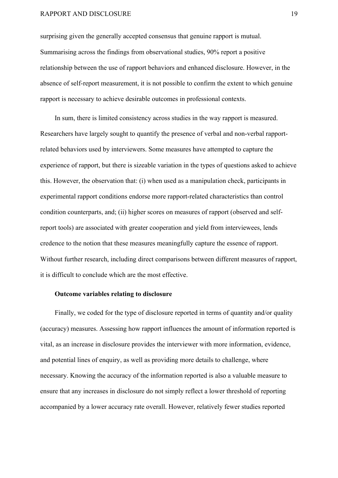surprising given the generally accepted consensus that genuine rapport is mutual. Summarising across the findings from observational studies, 90% report a positive relationship between the use of rapport behaviors and enhanced disclosure. However, in the absence of self-report measurement, it is not possible to confirm the extent to which genuine rapport is necessary to achieve desirable outcomes in professional contexts.

In sum, there is limited consistency across studies in the way rapport is measured. Researchers have largely sought to quantify the presence of verbal and non-verbal rapportrelated behaviors used by interviewers. Some measures have attempted to capture the experience of rapport, but there is sizeable variation in the types of questions asked to achieve this. However, the observation that: (i) when used as a manipulation check, participants in experimental rapport conditions endorse more rapport-related characteristics than control condition counterparts, and; (ii) higher scores on measures of rapport (observed and selfreport tools) are associated with greater cooperation and yield from interviewees, lends credence to the notion that these measures meaningfully capture the essence of rapport. Without further research, including direct comparisons between different measures of rapport, it is difficult to conclude which are the most effective.

#### **Outcome variables relating to disclosure**

Finally, we coded for the type of disclosure reported in terms of quantity and/or quality (accuracy) measures. Assessing how rapport influences the amount of information reported is vital, as an increase in disclosure provides the interviewer with more information, evidence, and potential lines of enquiry, as well as providing more details to challenge, where necessary. Knowing the accuracy of the information reported is also a valuable measure to ensure that any increases in disclosure do not simply reflect a lower threshold of reporting accompanied by a lower accuracy rate overall. However, relatively fewer studies reported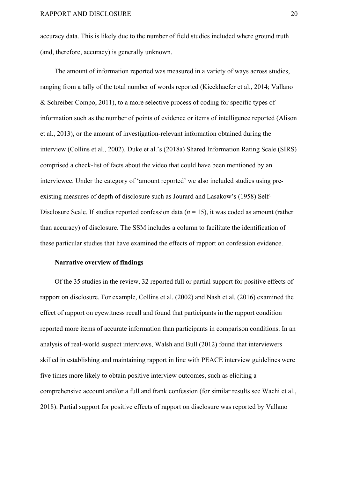accuracy data. This is likely due to the number of field studies included where ground truth (and, therefore, accuracy) is generally unknown.

The amount of information reported was measured in a variety of ways across studies, ranging from a tally of the total number of words reported (Kieckhaefer et al., 2014; Vallano & Schreiber Compo, 2011), to a more selective process of coding for specific types of information such as the number of points of evidence or items of intelligence reported (Alison et al., 2013), or the amount of investigation-relevant information obtained during the interview (Collins et al., 2002). Duke et al.'s (2018a) Shared Information Rating Scale (SIRS) comprised a check-list of facts about the video that could have been mentioned by an interviewee. Under the category of 'amount reported' we also included studies using preexisting measures of depth of disclosure such as Jourard and Lasakow's (1958) Self-Disclosure Scale. If studies reported confession data (*n* = 15), it was coded as amount (rather than accuracy) of disclosure. The SSM includes a column to facilitate the identification of these particular studies that have examined the effects of rapport on confession evidence.

#### **Narrative overview of findings**

Of the 35 studies in the review, 32 reported full or partial support for positive effects of rapport on disclosure. For example, Collins et al. (2002) and Nash et al. (2016) examined the effect of rapport on eyewitness recall and found that participants in the rapport condition reported more items of accurate information than participants in comparison conditions. In an analysis of real-world suspect interviews, Walsh and Bull (2012) found that interviewers skilled in establishing and maintaining rapport in line with PEACE interview guidelines were five times more likely to obtain positive interview outcomes, such as eliciting a comprehensive account and/or a full and frank confession (for similar results see Wachi et al., 2018). Partial support for positive effects of rapport on disclosure was reported by Vallano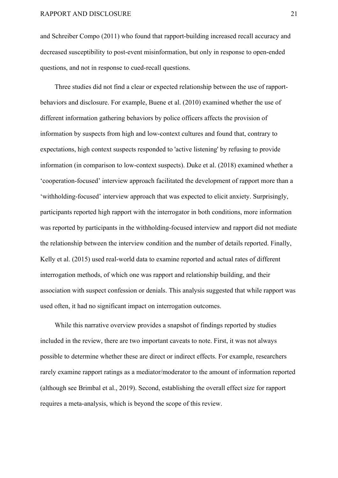and Schreiber Compo (2011) who found that rapport-building increased recall accuracy and decreased susceptibility to post-event misinformation, but only in response to open-ended questions, and not in response to cued-recall questions.

Three studies did not find a clear or expected relationship between the use of rapportbehaviors and disclosure. For example, Buene et al. (2010) examined whether the use of different information gathering behaviors by police officers affects the provision of information by suspects from high and low-context cultures and found that, contrary to expectations, high context suspects responded to 'active listening' by refusing to provide information (in comparison to low-context suspects). Duke et al. (2018) examined whether a 'cooperation-focused' interview approach facilitated the development of rapport more than a 'withholding-focused' interview approach that was expected to elicit anxiety. Surprisingly, participants reported high rapport with the interrogator in both conditions, more information was reported by participants in the withholding-focused interview and rapport did not mediate the relationship between the interview condition and the number of details reported. Finally, Kelly et al. (2015) used real-world data to examine reported and actual rates of different interrogation methods, of which one was rapport and relationship building, and their association with suspect confession or denials. This analysis suggested that while rapport was used often, it had no significant impact on interrogation outcomes.

While this narrative overview provides a snapshot of findings reported by studies included in the review, there are two important caveats to note. First, it was not always possible to determine whether these are direct or indirect effects. For example, researchers rarely examine rapport ratings as a mediator/moderator to the amount of information reported (although see Brimbal et al., 2019). Second, establishing the overall effect size for rapport requires a meta-analysis, which is beyond the scope of this review.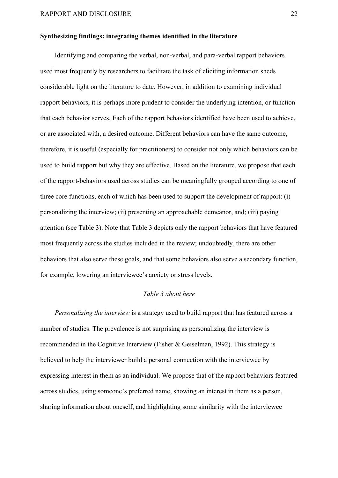#### **Synthesizing findings: integrating themes identified in the literature**

Identifying and comparing the verbal, non-verbal, and para-verbal rapport behaviors used most frequently by researchers to facilitate the task of eliciting information sheds considerable light on the literature to date. However, in addition to examining individual rapport behaviors, it is perhaps more prudent to consider the underlying intention, or function that each behavior serves. Each of the rapport behaviors identified have been used to achieve, or are associated with, a desired outcome. Different behaviors can have the same outcome, therefore, it is useful (especially for practitioners) to consider not only which behaviors can be used to build rapport but why they are effective. Based on the literature, we propose that each of the rapport-behaviors used across studies can be meaningfully grouped according to one of three core functions, each of which has been used to support the development of rapport: (i) personalizing the interview; (ii) presenting an approachable demeanor, and; (iii) paying attention (see Table 3). Note that Table 3 depicts only the rapport behaviors that have featured most frequently across the studies included in the review; undoubtedly, there are other behaviors that also serve these goals, and that some behaviors also serve a secondary function, for example, lowering an interviewee's anxiety or stress levels.

#### *Table 3 about here*

*Personalizing the interview* is a strategy used to build rapport that has featured across a number of studies. The prevalence is not surprising as personalizing the interview is recommended in the Cognitive Interview (Fisher & Geiselman, 1992). This strategy is believed to help the interviewer build a personal connection with the interviewee by expressing interest in them as an individual. We propose that of the rapport behaviors featured across studies, using someone's preferred name, showing an interest in them as a person, sharing information about oneself, and highlighting some similarity with the interviewee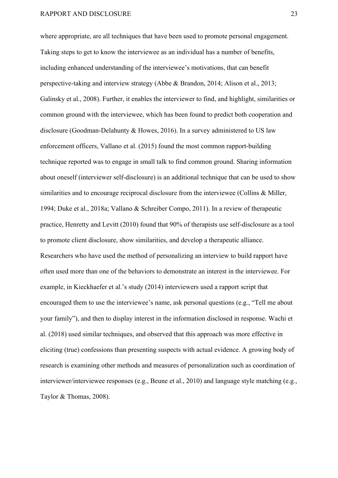where appropriate, are all techniques that have been used to promote personal engagement. Taking steps to get to know the interviewee as an individual has a number of benefits, including enhanced understanding of the interviewee's motivations, that can benefit perspective-taking and interview strategy (Abbe & Brandon, 2014; Alison et al., 2013; Galinsky et al., 2008). Further, it enables the interviewer to find, and highlight, similarities or common ground with the interviewee, which has been found to predict both cooperation and disclosure (Goodman-Delahunty & Howes, 2016). In a survey administered to US law enforcement officers, Vallano et al. (2015) found the most common rapport-building technique reported was to engage in small talk to find common ground. Sharing information about oneself (interviewer self-disclosure) is an additional technique that can be used to show similarities and to encourage reciprocal disclosure from the interviewee (Collins & Miller, 1994; Duke et al., 2018a; Vallano & Schreiber Compo, 2011). In a review of therapeutic practice, Henretty and Levitt (2010) found that 90% of therapists use self-disclosure as a tool to promote client disclosure, show similarities, and develop a therapeutic alliance. Researchers who have used the method of personalizing an interview to build rapport have often used more than one of the behaviors to demonstrate an interest in the interviewee. For example, in Kieckhaefer et al.'s study (2014) interviewers used a rapport script that encouraged them to use the interviewee's name, ask personal questions (e.g., "Tell me about your family"), and then to display interest in the information disclosed in response. Wachi et al. (2018) used similar techniques, and observed that this approach was more effective in eliciting (true) confessions than presenting suspects with actual evidence. A growing body of research is examining other methods and measures of personalization such as coordination of interviewer/interviewee responses (e.g., Beune et al., 2010) and language style matching (e.g., Taylor & Thomas, 2008).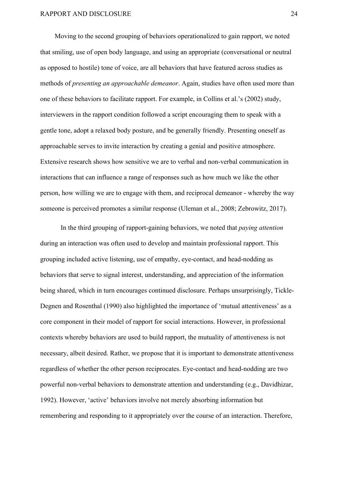Moving to the second grouping of behaviors operationalized to gain rapport, we noted that smiling, use of open body language, and using an appropriate (conversational or neutral as opposed to hostile) tone of voice, are all behaviors that have featured across studies as methods of *presenting an approachable demeanor*. Again, studies have often used more than one of these behaviors to facilitate rapport. For example, in Collins et al.'s (2002) study, interviewers in the rapport condition followed a script encouraging them to speak with a gentle tone, adopt a relaxed body posture, and be generally friendly. Presenting oneself as approachable serves to invite interaction by creating a genial and positive atmosphere. Extensive research shows how sensitive we are to verbal and non-verbal communication in interactions that can influence a range of responses such as how much we like the other person, how willing we are to engage with them, and reciprocal demeanor - whereby the way someone is perceived promotes a similar response (Uleman et al., 2008; Zebrowitz, 2017).

In the third grouping of rapport-gaining behaviors, we noted that *paying attention* during an interaction was often used to develop and maintain professional rapport. This grouping included active listening, use of empathy, eye-contact, and head-nodding as behaviors that serve to signal interest, understanding, and appreciation of the information being shared, which in turn encourages continued disclosure. Perhaps unsurprisingly, Tickle-Degnen and Rosenthal (1990) also highlighted the importance of 'mutual attentiveness' as a core component in their model of rapport for social interactions. However, in professional contexts whereby behaviors are used to build rapport, the mutuality of attentiveness is not necessary, albeit desired. Rather, we propose that it is important to demonstrate attentiveness regardless of whether the other person reciprocates. Eye-contact and head-nodding are two powerful non-verbal behaviors to demonstrate attention and understanding (e.g., Davidhizar, 1992). However, 'active' behaviors involve not merely absorbing information but remembering and responding to it appropriately over the course of an interaction. Therefore,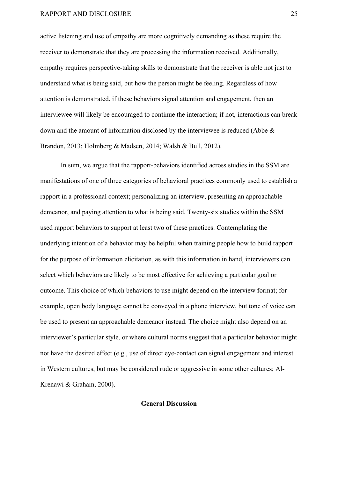active listening and use of empathy are more cognitively demanding as these require the receiver to demonstrate that they are processing the information received. Additionally, empathy requires perspective-taking skills to demonstrate that the receiver is able not just to understand what is being said, but how the person might be feeling. Regardless of how attention is demonstrated, if these behaviors signal attention and engagement, then an interviewee will likely be encouraged to continue the interaction; if not, interactions can break down and the amount of information disclosed by the interviewee is reduced (Abbe & Brandon, 2013; Holmberg & Madsen, 2014; Walsh & Bull, 2012).

In sum, we argue that the rapport-behaviors identified across studies in the SSM are manifestations of one of three categories of behavioral practices commonly used to establish a rapport in a professional context; personalizing an interview, presenting an approachable demeanor, and paying attention to what is being said. Twenty-six studies within the SSM used rapport behaviors to support at least two of these practices. Contemplating the underlying intention of a behavior may be helpful when training people how to build rapport for the purpose of information elicitation, as with this information in hand, interviewers can select which behaviors are likely to be most effective for achieving a particular goal or outcome. This choice of which behaviors to use might depend on the interview format; for example, open body language cannot be conveyed in a phone interview, but tone of voice can be used to present an approachable demeanor instead. The choice might also depend on an interviewer's particular style, or where cultural norms suggest that a particular behavior might not have the desired effect (e.g., use of direct eye-contact can signal engagement and interest in Western cultures, but may be considered rude or aggressive in some other cultures; Al-Krenawi & Graham, 2000).

#### **General Discussion**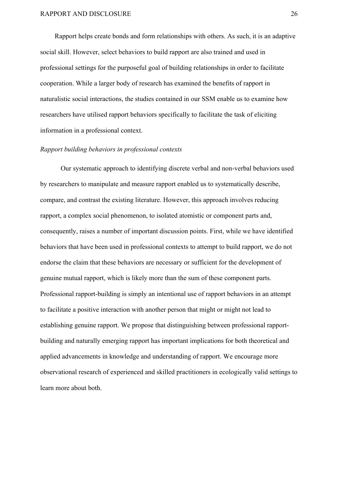Rapport helps create bonds and form relationships with others. As such, it is an adaptive social skill. However, select behaviors to build rapport are also trained and used in professional settings for the purposeful goal of building relationships in order to facilitate cooperation. While a larger body of research has examined the benefits of rapport in naturalistic social interactions, the studies contained in our SSM enable us to examine how researchers have utilised rapport behaviors specifically to facilitate the task of eliciting information in a professional context.

#### *Rapport building behaviors in professional contexts*

Our systematic approach to identifying discrete verbal and non-verbal behaviors used by researchers to manipulate and measure rapport enabled us to systematically describe, compare, and contrast the existing literature. However, this approach involves reducing rapport, a complex social phenomenon, to isolated atomistic or component parts and, consequently, raises a number of important discussion points. First, while we have identified behaviors that have been used in professional contexts to attempt to build rapport, we do not endorse the claim that these behaviors are necessary or sufficient for the development of genuine mutual rapport, which is likely more than the sum of these component parts. Professional rapport-building is simply an intentional use of rapport behaviors in an attempt to facilitate a positive interaction with another person that might or might not lead to establishing genuine rapport. We propose that distinguishing between professional rapportbuilding and naturally emerging rapport has important implications for both theoretical and applied advancements in knowledge and understanding of rapport. We encourage more observational research of experienced and skilled practitioners in ecologically valid settings to learn more about both.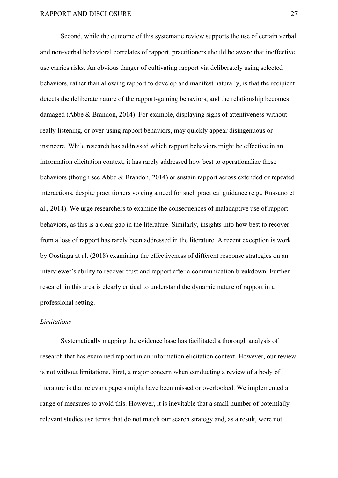Second, while the outcome of this systematic review supports the use of certain verbal and non-verbal behavioral correlates of rapport, practitioners should be aware that ineffective use carries risks. An obvious danger of cultivating rapport via deliberately using selected behaviors, rather than allowing rapport to develop and manifest naturally, is that the recipient detects the deliberate nature of the rapport-gaining behaviors, and the relationship becomes damaged (Abbe & Brandon, 2014). For example, displaying signs of attentiveness without really listening, or over-using rapport behaviors, may quickly appear disingenuous or insincere. While research has addressed which rapport behaviors might be effective in an information elicitation context, it has rarely addressed how best to operationalize these behaviors (though see Abbe & Brandon, 2014) or sustain rapport across extended or repeated interactions, despite practitioners voicing a need for such practical guidance (e.g., Russano et al., 2014). We urge researchers to examine the consequences of maladaptive use of rapport behaviors, as this is a clear gap in the literature. Similarly, insights into how best to recover from a loss of rapport has rarely been addressed in the literature. A recent exception is work by Oostinga at al. (2018) examining the effectiveness of different response strategies on an interviewer's ability to recover trust and rapport after a communication breakdown. Further research in this area is clearly critical to understand the dynamic nature of rapport in a professional setting.

#### *Limitations*

Systematically mapping the evidence base has facilitated a thorough analysis of research that has examined rapport in an information elicitation context. However, our review is not without limitations. First, a major concern when conducting a review of a body of literature is that relevant papers might have been missed or overlooked. We implemented a range of measures to avoid this. However, it is inevitable that a small number of potentially relevant studies use terms that do not match our search strategy and, as a result, were not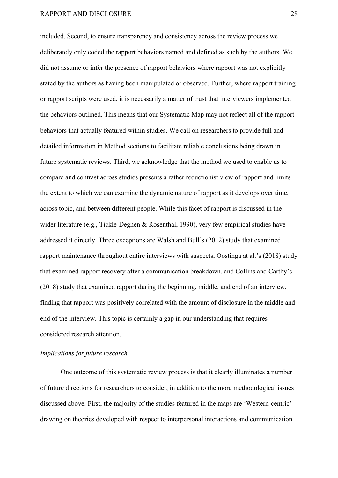included. Second, to ensure transparency and consistency across the review process we deliberately only coded the rapport behaviors named and defined as such by the authors. We did not assume or infer the presence of rapport behaviors where rapport was not explicitly stated by the authors as having been manipulated or observed. Further, where rapport training or rapport scripts were used, it is necessarily a matter of trust that interviewers implemented the behaviors outlined. This means that our Systematic Map may not reflect all of the rapport behaviors that actually featured within studies. We call on researchers to provide full and detailed information in Method sections to facilitate reliable conclusions being drawn in future systematic reviews. Third, we acknowledge that the method we used to enable us to compare and contrast across studies presents a rather reductionist view of rapport and limits the extent to which we can examine the dynamic nature of rapport as it develops over time, across topic, and between different people. While this facet of rapport is discussed in the wider literature (e.g., Tickle-Degnen & Rosenthal, 1990), very few empirical studies have addressed it directly. Three exceptions are Walsh and Bull's (2012) study that examined rapport maintenance throughout entire interviews with suspects, Oostinga at al.'s (2018) study that examined rapport recovery after a communication breakdown, and Collins and Carthy's (2018) study that examined rapport during the beginning, middle, and end of an interview, finding that rapport was positively correlated with the amount of disclosure in the middle and end of the interview. This topic is certainly a gap in our understanding that requires considered research attention.

#### *Implications for future research*

One outcome of this systematic review process is that it clearly illuminates a number of future directions for researchers to consider, in addition to the more methodological issues discussed above. First, the majority of the studies featured in the maps are 'Western-centric' drawing on theories developed with respect to interpersonal interactions and communication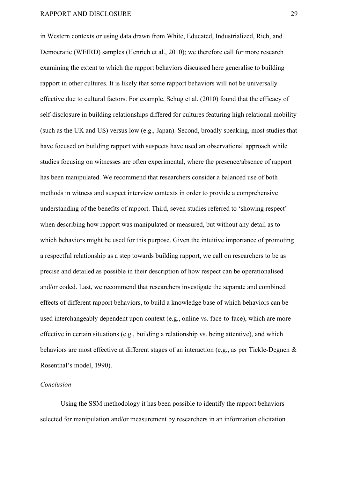in Western contexts or using data drawn from White, Educated, Industrialized, Rich, and Democratic (WEIRD) samples (Henrich et al., 2010); we therefore call for more research examining the extent to which the rapport behaviors discussed here generalise to building rapport in other cultures. It is likely that some rapport behaviors will not be universally effective due to cultural factors. For example, Schug et al. (2010) found that the efficacy of self-disclosure in building relationships differed for cultures featuring high relational mobility (such as the UK and US) versus low (e.g., Japan). Second, broadly speaking, most studies that have focused on building rapport with suspects have used an observational approach while studies focusing on witnesses are often experimental, where the presence/absence of rapport has been manipulated. We recommend that researchers consider a balanced use of both methods in witness and suspect interview contexts in order to provide a comprehensive understanding of the benefits of rapport. Third, seven studies referred to 'showing respect' when describing how rapport was manipulated or measured, but without any detail as to which behaviors might be used for this purpose. Given the intuitive importance of promoting a respectful relationship as a step towards building rapport, we call on researchers to be as precise and detailed as possible in their description of how respect can be operationalised and/or coded. Last, we recommend that researchers investigate the separate and combined effects of different rapport behaviors, to build a knowledge base of which behaviors can be used interchangeably dependent upon context (e.g., online vs. face-to-face), which are more effective in certain situations (e.g., building a relationship vs. being attentive), and which behaviors are most effective at different stages of an interaction (e.g., as per Tickle-Degnen & Rosenthal's model, 1990).

#### *Conclusion*

Using the SSM methodology it has been possible to identify the rapport behaviors selected for manipulation and/or measurement by researchers in an information elicitation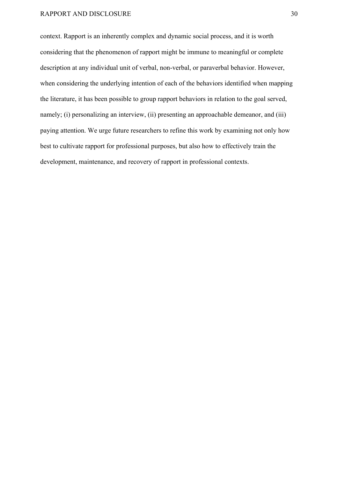context. Rapport is an inherently complex and dynamic social process, and it is worth considering that the phenomenon of rapport might be immune to meaningful or complete description at any individual unit of verbal, non-verbal, or paraverbal behavior. However, when considering the underlying intention of each of the behaviors identified when mapping the literature, it has been possible to group rapport behaviors in relation to the goal served, namely; (i) personalizing an interview, (ii) presenting an approachable demeanor, and (iii) paying attention. We urge future researchers to refine this work by examining not only how best to cultivate rapport for professional purposes, but also how to effectively train the development, maintenance, and recovery of rapport in professional contexts.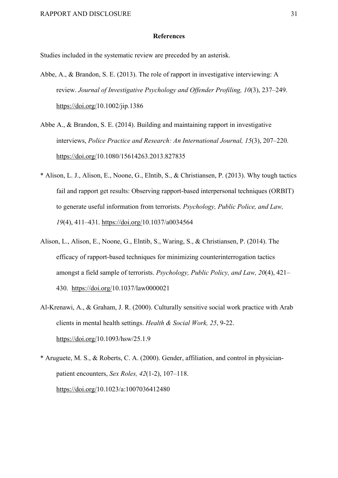#### **References**

Studies included in the systematic review are preceded by an asterisk.

- Abbe, A., & Brandon, S. E. (2013). The role of rapport in investigative interviewing: A review. *Journal of Investigative Psychology and Offender Profiling, 10*(3), 237–249. https://doi.org/10.1002/jip.1386
- Abbe A., & Brandon, S. E. (2014). Building and maintaining rapport in investigative interviews, *Police Practice and Research: An International Journal, 15*(3), 207–220. https://doi.org/10.1080/15614263.2013.827835
- \* Alison, L. J., Alison, E., Noone, G., Elntib, S., & Christiansen, P. (2013). Why tough tactics fail and rapport get results: Observing rapport-based interpersonal techniques (ORBIT) to generate useful information from terrorists. *Psychology, Public Police, and Law, 19*(4), 411–431. https://doi.org/10.1037/a0034564
- Alison, L., Alison, E., Noone, G., Elntib, S., Waring, S., & Christiansen, P. (2014). The efficacy of rapport-based techniques for minimizing counterinterrogation tactics amongst a field sample of terrorists. *Psychology, Public Policy, and Law, 20*(4), 421– 430. https://doi.org/10.1037/law0000021
- Al-Krenawi, A., & Graham, J. R. (2000). Culturally sensitive social work practice with Arab clients in mental health settings. *Health & Social Work, 25*, 9-22. https://doi.org/10.1093/hsw/25.1.9
- \* Aruguete, M. S., & Roberts, C. A. (2000). Gender, affiliation, and control in physicianpatient encounters, *Sex Roles, 42*(1-2), 107–118. https://doi.org/10.1023/a:1007036412480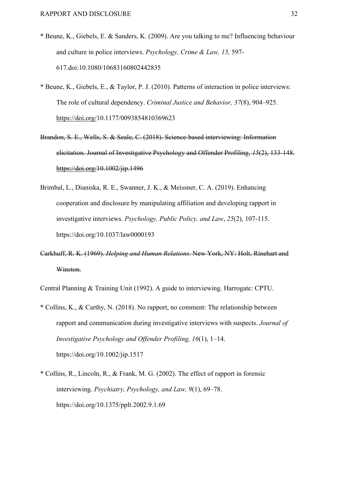- \* Beune, K., Giebels, E. & Sanders, K. (2009). Are you talking to me? Influencing behaviour and culture in police interviews. *Psychology, Crime & Law, 15,* 597- 617.doi:10.1080/10683160802442835
- \* Beune, K., Giebels, E., & Taylor, P. J. (2010). Patterns of interaction in police interviews: The role of cultural dependency. *Criminal Justice and Behavior, 37*(8), 904–925. https://doi.org/10.1177/0093854810369623
- Brandon, S. E., Wells, S. & Seale, C. (2018). Science-based interviewing: Information elicitation. Journal of Investigative Psychology and Offender Profiling, *15*(2), 133-148. https://doi.org/10.1002/jip.1496
- Brimbal, L., Dianiska, R. E., Swanner, J. K., & Meissner, C. A. (2019). Enhancing cooperation and disclosure by manipulating affiliation and developing rapport in investigative interviews. *Psychology, Public Policy, and Law*, *25*(2), 107-115. https://doi.org/10.1037/law0000193
- Carkhuff, R. K. (1969). *Helping and Human Relations.* New York, NY: Holt, Rinehart and Winston.

Central Planning & Training Unit (1992). A guide to interviewing. Harrogate: CPTU.

- \* Collins, K., & Carthy, N. (2018). No rapport, no comment: The relationship between rapport and communication during investigative interviews with suspects. *Journal of Investigative Psychology and Offender Profiling, 16*(1), 1–14. https://doi.org/10.1002/jip.1517
- \* Collins, R., Lincoln, R., & Frank, M. G. (2002). The effect of rapport in forensic interviewing. *Psychiatry, Psychology, and Law, 9*(1), 69–78. https://doi.org/10.1375/pplt.2002.9.1.69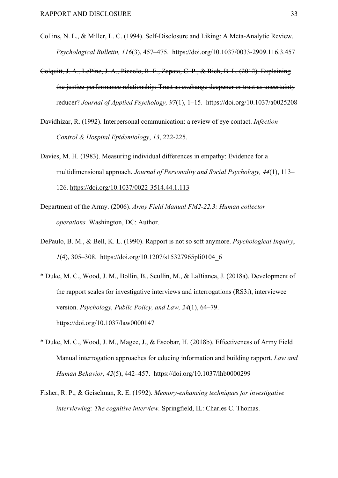- Collins, N. L., & Miller, L. C. (1994). Self-Disclosure and Liking: A Meta-Analytic Review. *Psychological Bulletin, 116*(3), 457–475. https://doi.org/10.1037/0033-2909.116.3.457
- Colquitt, J. A., LePine, J. A., Piccolo, R. F., Zapata, C. P., & Rich, B. L. (2012). Explaining the justice-performance relationship: Trust as exchange deepener or trust as uncertainty reducer? *Journal of Applied Psychology, 97*(1), 1–15. https://doi.org/10.1037/a0025208
- Davidhizar, R. (1992). Interpersonal communication: a review of eye contact. *Infection Control & Hospital Epidemiology*, *13*, 222-225.
- Davies, M. H. (1983). Measuring individual differences in empathy: Evidence for a multidimensional approach. *Journal of Personality and Social Psychology, 44*(1), 113– 126. https://doi.org/10.1037/0022-3514.44.1.113
- Department of the Army. (2006). *Army Field Manual FM2-22.3: Human collector operations.* Washington, DC: Author.
- DePaulo, B. M., & Bell, K. L. (1990). Rapport is not so soft anymore. *Psychological Inquiry*, *1*(4), 305–308. https://doi.org/10.1207/s15327965pli0104\_6
- \* Duke, M. C., Wood, J. M., Bollin, B., Scullin, M., & LaBianca, J. (2018a). Development of the rapport scales for investigative interviews and interrogations (RS3i), interviewee version. *Psychology, Public Policy, and Law, 24*(1), 64–79. https://doi.org/10.1037/law0000147
- \* Duke, M. C., Wood, J. M., Magee, J., & Escobar, H. (2018b). Effectiveness of Army Field Manual interrogation approaches for educing information and building rapport. *Law and Human Behavior, 42*(5), 442–457. https://doi.org/10.1037/lhb0000299
- Fisher, R. P., & Geiselman, R. E. (1992). *Memory-enhancing techniques for investigative interviewing: The cognitive interview.* Springfield, IL: Charles C. Thomas.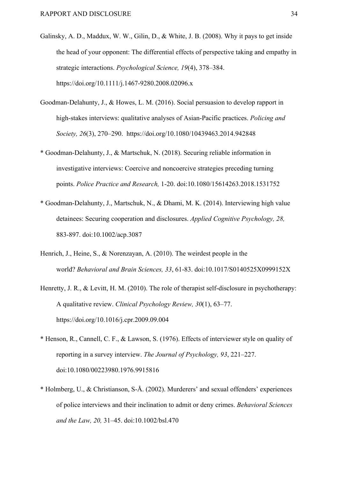- Galinsky, A. D., Maddux, W. W., Gilin, D., & White, J. B. (2008). Why it pays to get inside the head of your opponent: The differential effects of perspective taking and empathy in strategic interactions. *Psychological Science, 19*(4), 378–384. https://doi.org/10.1111/j.1467-9280.2008.02096.x
- Goodman-Delahunty, J., & Howes, L. M. (2016). Social persuasion to develop rapport in high-stakes interviews: qualitative analyses of Asian-Pacific practices. *Policing and Society, 26*(3), 270–290. https://doi.org/10.1080/10439463.2014.942848
- \* Goodman-Delahunty, J., & Martschuk, N. (2018). Securing reliable information in investigative interviews: Coercive and noncoercive strategies preceding turning points. *Police Practice and Research,* 1-20. doi:10.1080/15614263.2018.1531752
- \* Goodman-Delahunty, J., Martschuk, N., & Dhami, M. K. (2014). Interviewing high value detainees: Securing cooperation and disclosures. *Applied Cognitive Psychology, 28,* 883-897. doi:10.1002/acp.3087
- Henrich, J., Heine, S., & Norenzayan, A. (2010). The weirdest people in the world? *Behavioral and Brain Sciences, 33*, 61-83. doi:10.1017/S0140525X0999152X
- Henretty, J. R., & Levitt, H. M. (2010). The role of therapist self-disclosure in psychotherapy: A qualitative review. *Clinical Psychology Review, 30*(1), 63–77. https://doi.org/10.1016/j.cpr.2009.09.004
- \* Henson, R., Cannell, C. F., & Lawson, S. (1976). Effects of interviewer style on quality of reporting in a survey interview. *The Journal of Psychology, 93*, 221–227. doi:10.1080/00223980.1976.9915816
- \* Holmberg, U., & Christianson, S-Å. (2002). Murderers' and sexual offenders' experiences of police interviews and their inclination to admit or deny crimes. *Behavioral Sciences and the Law, 20,* 31–45. doi:10.1002/bsl.470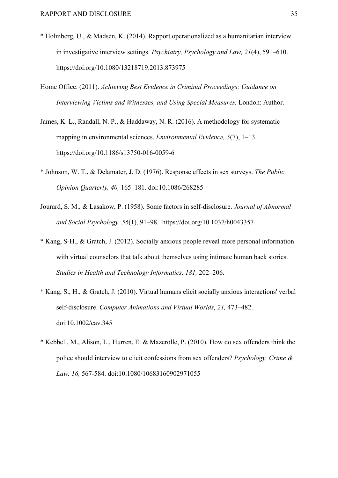- \* Holmberg, U., & Madsen, K. (2014). Rapport operationalized as a humanitarian interview in investigative interview settings. *Psychiatry, Psychology and Law, 21*(4), 591–610. https://doi.org/10.1080/13218719.2013.873975
- Home Office. (2011). *Achieving Best Evidence in Criminal Proceedings: Guidance on Interviewing Victims and Witnesses, and Using Special Measures.* London: Author.
- James, K. L., Randall, N. P., & Haddaway, N. R. (2016). A methodology for systematic mapping in environmental sciences. *Environmental Evidence, 5*(7), 1–13. https://doi.org/10.1186/s13750-016-0059-6
- \* Johnson, W. T., & Delamater, J. D. (1976). Response effects in sex surveys. *The Public Opinion Quarterly, 40,* 165–181. doi:10.1086/268285
- Jourard, S. M., & Lasakow, P. (1958). Some factors in self-disclosure. *Journal of Abnormal and Social Psychology, 56*(1), 91–98. https://doi.org/10.1037/h0043357
- \* Kang, S-H., & Gratch, J. (2012). Socially anxious people reveal more personal information with virtual counselors that talk about themselves using intimate human back stories. *Studies in Health and Technology Informatics, 181,* 202–206.
- \* Kang, S., H., & Gratch, J. (2010). Virtual humans elicit socially anxious interactions' verbal self-disclosure. *Computer Animations and Virtual Worlds, 21,* 473–482. doi:10.1002/cav.345
- \* Kebbell, M., Alison, L., Hurren, E. & Mazerolle, P. (2010). How do sex offenders think the police should interview to elicit confessions from sex offenders? *Psychology, Crime & Law, 16,* 567-584. doi:10.1080/10683160902971055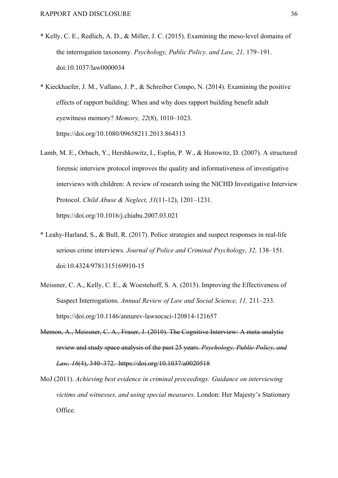- \* Kelly, C. E., Redlich, A. D., & Miller, J. C. (2015). Examining the meso-level domains of the interrogation taxonomy. *Psychology, Public Policy, and Law, 21,* 179–191. doi:10.1037/law0000034
- \* Kieckhaefer, J. M., Vallano, J. P., & Schreiber Compo, N. (2014). Examining the positive effects of rapport building: When and why does rapport building benefit adult eyewitness memory? *Memory, 22*(8), 1010–1023. https://doi.org/10.1080/09658211.2013.864313
- Lamb, M. E., Orbach, Y., Hershkowitz, I., Esplin, P. W., & Horowitz, D. (2007). A structured forensic interview protocol improves the quality and informativeness of investigative interviews with children: A review of research using the NICHD Investigative Interview Protocol. *Child Abuse & Neglect, 31*(11-12), 1201–1231. https://doi.org/10.1016/j.chiabu.2007.03.021
- \* Leahy-Harland, S., & Bull, R. (2017). Police strategies and suspect responses in real-life serious crime interviews. *Journal of Police and Criminal Psychology, 32,* 138–151. doi:10.4324/9781315169910-15
- Meissner, C. A., Kelly, C. E., & Woestehoff, S. A. (2015). Improving the Effectiveness of Suspect Interrogations. *Annual Review of Law and Social Science, 11,* 211–233. https://doi.org/10.1146/annurev-lawsocsci-120814-121657
- Memon, A., Meissner, C. A., Fraser, J. (2010). The Cognitive Interview: A meta-analytic review and study space analysis of the past 25 years. *Psychology, Public Policy, and Law, 16*(4), 340–372. https://doi.org/10.1037/a0020518
- MoJ (2011). *Achieving best evidence in criminal proceedings: Guidance on interviewing victims and witnesses, and using special measures*. London: Her Majesty's Stationary Office.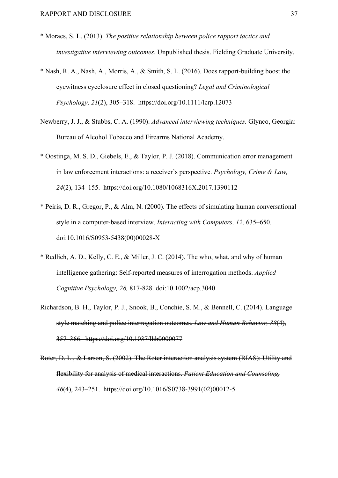- \* Moraes, S. L. (2013). *The positive relationship between police rapport tactics and investigative interviewing outcomes*. Unpublished thesis. Fielding Graduate University.
- \* Nash, R. A., Nash, A., Morris, A., & Smith, S. L. (2016). Does rapport-building boost the eyewitness eyeclosure effect in closed questioning? *Legal and Criminological Psychology, 21*(2), 305–318. https://doi.org/10.1111/lcrp.12073
- Newberry, J. J., & Stubbs, C. A. (1990). *Advanced interviewing techniques.* Glynco, Georgia: Bureau of Alcohol Tobacco and Firearms National Academy.
- \* Oostinga, M. S. D., Giebels, E., & Taylor, P. J. (2018). Communication error management in law enforcement interactions: a receiver's perspective. *Psychology, Crime & Law, 24*(2), 134–155. https://doi.org/10.1080/1068316X.2017.1390112
- \* Peiris, D. R., Gregor, P., & Alm, N. (2000). The effects of simulating human conversational style in a computer-based interview. *Interacting with Computers, 12,* 635–650. doi:10.1016/S0953-5438(00)00028-X
- \* Redlich, A. D., Kelly, C. E., & Miller, J. C. (2014). The who, what, and why of human intelligence gathering: Self‐reported measures of interrogation methods. *Applied Cognitive Psychology, 28,* 817-828. doi:10.1002/acp.3040
- Richardson, B. H., Taylor, P. J., Snook, B., Conchie, S. M., & Bennell, C. (2014). Language style matching and police interrogation outcomes. *Law and Human Behavior, 38*(4), 357–366. https://doi.org/10.1037/lhb0000077
- Roter, D. L., & Larson, S. (2002). The Roter interaction analysis system (RIAS): Utility and flexibility for analysis of medical interactions. *Patient Education and Counseling, 46*(4), 243–251. https://doi.org/10.1016/S0738-3991(02)00012-5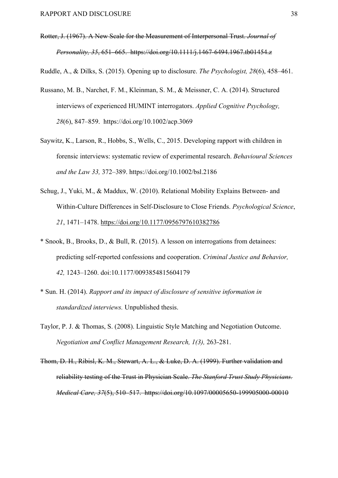Rotter, J. (1967). A New Scale for the Measurement of Interpersonal Trust. *Journal of Personality, 35*, 651–665. https://doi.org/10.1111/j.1467-6494.1967.tb01454.z

Ruddle, A., & Dilks, S. (2015). Opening up to disclosure. *The Psychologist, 28*(6), 458–461.

- Russano, M. B., Narchet, F. M., Kleinman, S. M., & Meissner, C. A. (2014). Structured interviews of experienced HUMINT interrogators. *Applied Cognitive Psychology, 28*(6), 847–859. https://doi.org/10.1002/acp.3069
- Saywitz, K., Larson, R., Hobbs, S., Wells, C., 2015. Developing rapport with children in forensic interviews: systematic review of experimental research. *Behavioural Sciences and the Law 33,* 372–389. https://doi.org/10.1002/bsl.2186
- Schug, J., Yuki, M., & Maddux, W. (2010). Relational Mobility Explains Between- and Within-Culture Differences in Self-Disclosure to Close Friends. *Psychological Science*, *21*, 1471–1478. https://doi.org/10.1177/0956797610382786
- \* Snook, B., Brooks, D., & Bull, R. (2015). A lesson on interrogations from detainees: predicting self-reported confessions and cooperation. *Criminal Justice and Behavior, 42,* 1243–1260. doi:10.1177/0093854815604179
- \* Sun. H. (2014). *Rapport and its impact of disclosure of sensitive information in standardized interviews.* Unpublished thesis.
- Taylor, P. J. & Thomas, S. (2008). Linguistic Style Matching and Negotiation Outcome. *Negotiation and Conflict Management Research, 1(3),* 263-281.
- Thom, D. H., Ribisl, K. M., Stewart, A. L., & Luke, D. A. (1999). Further validation and reliability testing of the Trust in Physician Scale. *The Stanford Trust Study Physicians. Medical Care, 37*(5), 510–517. https://doi.org/10.1097/00005650-199905000-00010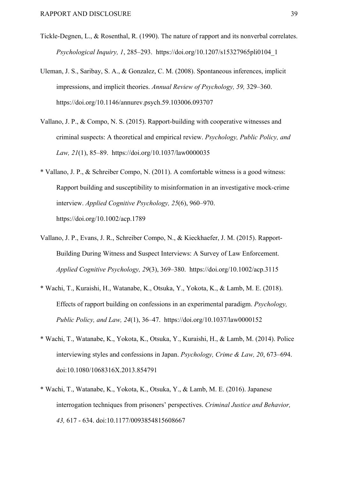- Tickle-Degnen, L., & Rosenthal, R. (1990). The nature of rapport and its nonverbal correlates. *Psychological Inquiry, 1*, 285–293. https://doi.org/10.1207/s15327965pli0104\_1
- Uleman, J. S., Saribay, S. A., & Gonzalez, C. M. (2008). Spontaneous inferences, implicit impressions, and implicit theories. *Annual Review of Psychology, 59,* 329–360. https://doi.org/10.1146/annurev.psych.59.103006.093707
- Vallano, J. P., & Compo, N. S. (2015). Rapport-building with cooperative witnesses and criminal suspects: A theoretical and empirical review. *Psychology, Public Policy, and Law, 21*(1), 85–89. https://doi.org/10.1037/law0000035
- \* Vallano, J. P., & Schreiber Compo, N. (2011). A comfortable witness is a good witness: Rapport building and susceptibility to misinformation in an investigative mock-crime interview. *Applied Cognitive Psychology, 25*(6), 960–970. https://doi.org/10.1002/acp.1789
- Vallano, J. P., Evans, J. R., Schreiber Compo, N., & Kieckhaefer, J. M. (2015). Rapport-Building During Witness and Suspect Interviews: A Survey of Law Enforcement. *Applied Cognitive Psychology, 29*(3), 369–380. https://doi.org/10.1002/acp.3115
- \* Wachi, T., Kuraishi, H., Watanabe, K., Otsuka, Y., Yokota, K., & Lamb, M. E. (2018). Effects of rapport building on confessions in an experimental paradigm. *Psychology, Public Policy, and Law, 24*(1), 36–47. https://doi.org/10.1037/law0000152
- \* Wachi, T., Watanabe, K., Yokota, K., Otsuka, Y., Kuraishi, H., & Lamb, M. (2014). Police interviewing styles and confessions in Japan. *Psychology, Crime & Law, 20*, 673–694. doi:10.1080/1068316X.2013.854791
- \* Wachi, T., Watanabe, K., Yokota, K., Otsuka, Y., & Lamb, M. E. (2016). Japanese interrogation techniques from prisoners' perspectives. *Criminal Justice and Behavior, 43,* 617 - 634. doi:10.1177/0093854815608667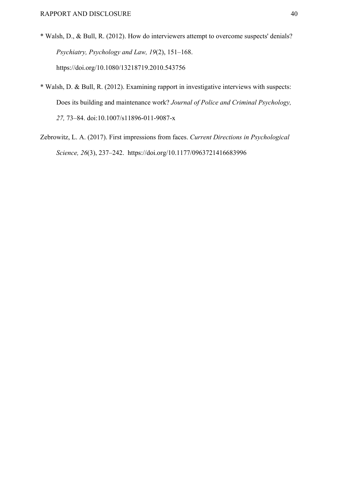- \* Walsh, D., & Bull, R. (2012). How do interviewers attempt to overcome suspects' denials? *Psychiatry, Psychology and Law, 19*(2), 151–168. https://doi.org/10.1080/13218719.2010.543756
- \* Walsh, D. & Bull, R. (2012). Examining rapport in investigative interviews with suspects: Does its building and maintenance work? *Journal of Police and Criminal Psychology, 27,* 73–84. doi:10.1007/s11896-011-9087-x
- Zebrowitz, L. A. (2017). First impressions from faces. *Current Directions in Psychological Science, 26*(3), 237–242. https://doi.org/10.1177/0963721416683996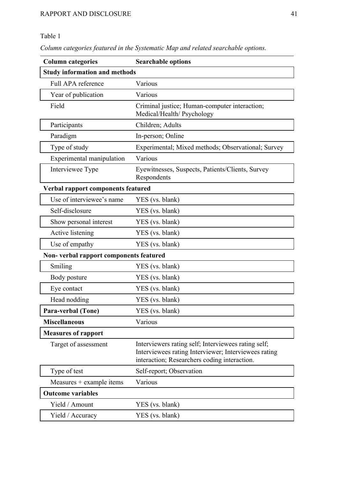# Table 1

*Column categories featured in the Systematic Map and related searchable options.*

| <b>Column categories</b>               | <b>Searchable options</b>                                                                                                                                   |  |  |  |
|----------------------------------------|-------------------------------------------------------------------------------------------------------------------------------------------------------------|--|--|--|
| <b>Study information and methods</b>   |                                                                                                                                                             |  |  |  |
| Full APA reference                     | Various                                                                                                                                                     |  |  |  |
| Year of publication                    | Various                                                                                                                                                     |  |  |  |
| Field                                  | Criminal justice; Human-computer interaction;<br>Medical/Health/ Psychology                                                                                 |  |  |  |
| Participants                           | Children; Adults                                                                                                                                            |  |  |  |
| Paradigm                               | In-person; Online                                                                                                                                           |  |  |  |
| Type of study                          | Experimental; Mixed methods; Observational; Survey                                                                                                          |  |  |  |
| Experimental manipulation              | Various                                                                                                                                                     |  |  |  |
| Interviewee Type                       | Eyewitnesses, Suspects, Patients/Clients, Survey<br>Respondents                                                                                             |  |  |  |
| Verbal rapport components featured     |                                                                                                                                                             |  |  |  |
| Use of interviewee's name              | YES (vs. blank)                                                                                                                                             |  |  |  |
| Self-disclosure                        | YES (vs. blank)                                                                                                                                             |  |  |  |
| Show personal interest                 | YES (vs. blank)                                                                                                                                             |  |  |  |
| Active listening                       | YES (vs. blank)                                                                                                                                             |  |  |  |
| Use of empathy                         | YES (vs. blank)                                                                                                                                             |  |  |  |
| Non-verbal rapport components featured |                                                                                                                                                             |  |  |  |
| Smiling                                | YES (vs. blank)                                                                                                                                             |  |  |  |
| Body posture                           | YES (vs. blank)                                                                                                                                             |  |  |  |
| Eye contact                            | YES (vs. blank)                                                                                                                                             |  |  |  |
| Head nodding                           | YES (vs. blank)                                                                                                                                             |  |  |  |
| Para-verbal (Tone)                     | YES (vs. blank)                                                                                                                                             |  |  |  |
| <b>Miscellaneous</b>                   | Various                                                                                                                                                     |  |  |  |
| <b>Measures of rapport</b>             |                                                                                                                                                             |  |  |  |
| Target of assessment                   | Interviewers rating self; Interviewees rating self;<br>Interviewees rating Interviewer; Interviewees rating<br>interaction; Researchers coding interaction. |  |  |  |
| Type of test                           | Self-report; Observation                                                                                                                                    |  |  |  |
| $Measures + example$ items             | Various                                                                                                                                                     |  |  |  |
| <b>Outcome variables</b>               |                                                                                                                                                             |  |  |  |
| Yield / Amount                         | YES (vs. blank)                                                                                                                                             |  |  |  |
| Yield / Accuracy                       | YES (vs. blank)                                                                                                                                             |  |  |  |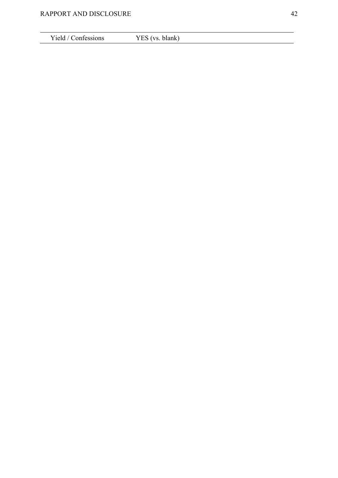Yield / Confessions YES (vs. blank)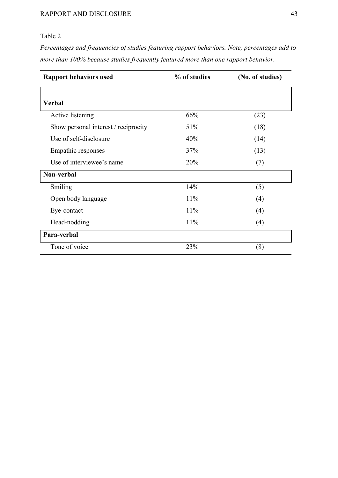# Table 2

*Percentages and frequencies of studies featuring rapport behaviors. Note, percentages add to more than 100% because studies frequently featured more than one rapport behavior.*

| <b>Rapport behaviors used</b>        | % of studies | (No. of studies) |
|--------------------------------------|--------------|------------------|
|                                      |              |                  |
| <b>Verbal</b>                        |              |                  |
| Active listening                     | 66%          | (23)             |
| Show personal interest / reciprocity | 51%          | (18)             |
| Use of self-disclosure               | 40%          | (14)             |
| Empathic responses                   | 37%          | (13)             |
| Use of interviewee's name            | 20%          | (7)              |
| Non-verbal                           |              |                  |
| Smiling                              | 14%          | (5)              |
| Open body language                   | 11%          | (4)              |
| Eye-contact                          | 11%          | (4)              |
| Head-nodding                         | 11%          | (4)              |
| Para-verbal                          |              |                  |
| Tone of voice                        | 23%          | (8)              |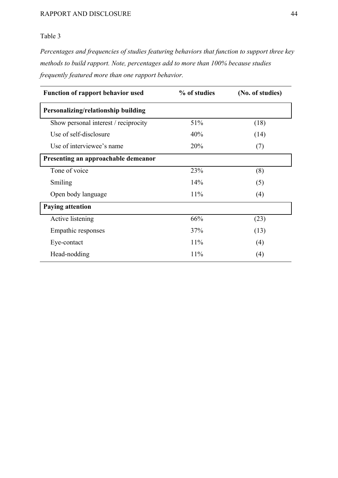# Table 3

*Percentages and frequencies of studies featuring behaviors that function to support three key methods to build rapport. Note, percentages add to more than 100% because studies frequently featured more than one rapport behavior.*

| <b>Function of rapport behavior used</b> | % of studies | (No. of studies) |  |  |
|------------------------------------------|--------------|------------------|--|--|
| Personalizing/relationship building      |              |                  |  |  |
| Show personal interest / reciprocity     | 51%          | (18)             |  |  |
| Use of self-disclosure                   | 40%          | (14)             |  |  |
| Use of interviewee's name                | 20%          | (7)              |  |  |
| Presenting an approachable demeanor      |              |                  |  |  |
| Tone of voice                            | 23%          | (8)              |  |  |
| Smiling                                  | 14%          | (5)              |  |  |
| Open body language                       | 11%          | (4)              |  |  |
| <b>Paying attention</b>                  |              |                  |  |  |
| Active listening                         | 66%          | (23)             |  |  |
| Empathic responses                       | 37%          | (13)             |  |  |
| Eye-contact                              | 11%          | (4)              |  |  |
| Head-nodding                             | 11%          | (4)              |  |  |